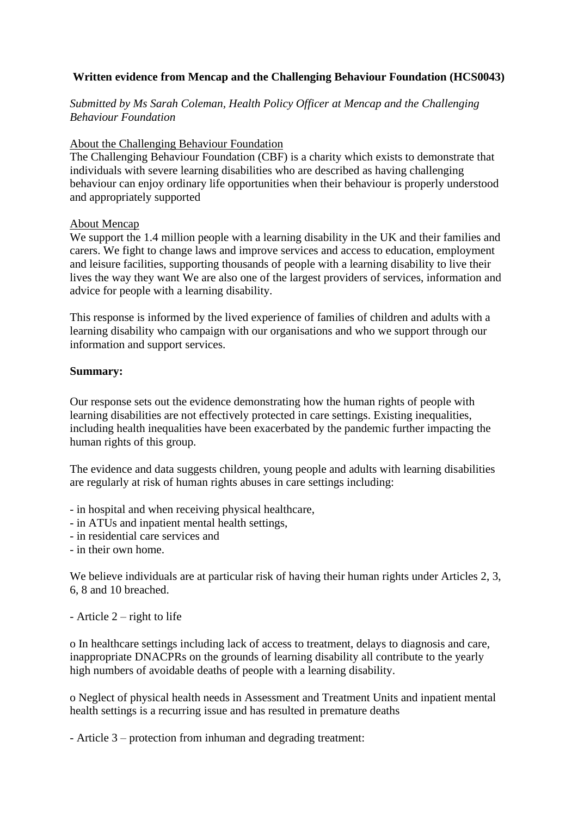# **Written evidence from Mencap and the Challenging Behaviour Foundation (HCS0043)**

*Submitted by Ms Sarah Coleman, Health Policy Officer at Mencap and the Challenging Behaviour Foundation* 

### About the Challenging Behaviour Foundation

The Challenging Behaviour Foundation (CBF) is a charity which exists to demonstrate that individuals with severe learning disabilities who are described as having challenging behaviour can enjoy ordinary life opportunities when their behaviour is properly understood and appropriately supported

#### About Mencap

We support the 1.4 million people with a learning disability in the UK and their families and carers. We fight to change laws and improve services and access to education, employment and leisure facilities, supporting thousands of people with a learning disability to live their lives the way they want We are also one of the largest providers of services, information and advice for people with a learning disability.

This response is informed by the lived experience of families of children and adults with a learning disability who campaign with our organisations and who we support through our information and support services.

#### **Summary:**

Our response sets out the evidence demonstrating how the human rights of people with learning disabilities are not effectively protected in care settings. Existing inequalities, including health inequalities have been exacerbated by the pandemic further impacting the human rights of this group.

The evidence and data suggests children, young people and adults with learning disabilities are regularly at risk of human rights abuses in care settings including:

- in hospital and when receiving physical healthcare,

- in ATUs and inpatient mental health settings,
- in residential care services and
- in their own home.

We believe individuals are at particular risk of having their human rights under Articles 2, 3, 6, 8 and 10 breached.

- Article  $2$  – right to life

o In healthcare settings including lack of access to treatment, delays to diagnosis and care, inappropriate DNACPRs on the grounds of learning disability all contribute to the yearly high numbers of avoidable deaths of people with a learning disability.

o Neglect of physical health needs in Assessment and Treatment Units and inpatient mental health settings is a recurring issue and has resulted in premature deaths

- Article 3 – protection from inhuman and degrading treatment: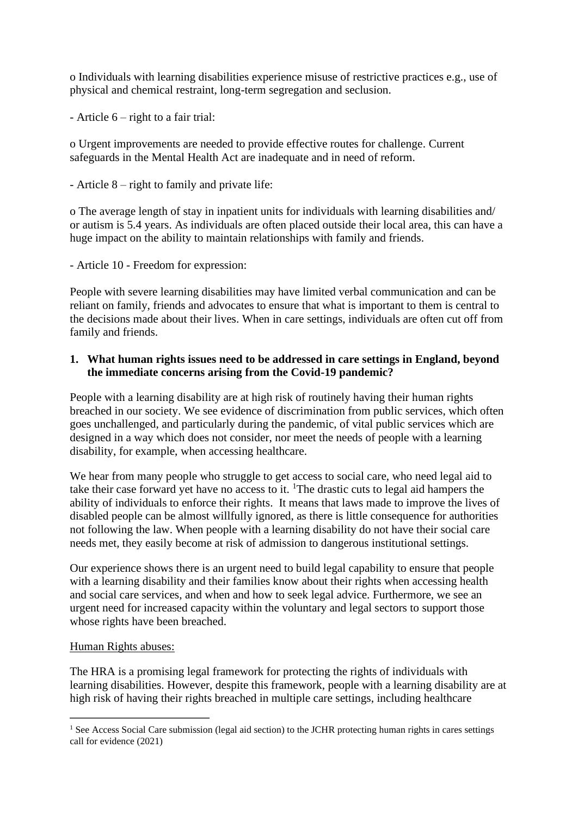o Individuals with learning disabilities experience misuse of restrictive practices e.g., use of physical and chemical restraint, long-term segregation and seclusion.

- Article 6 – right to a fair trial:

o Urgent improvements are needed to provide effective routes for challenge. Current safeguards in the Mental Health Act are inadequate and in need of reform.

- Article 8 – right to family and private life:

o The average length of stay in inpatient units for individuals with learning disabilities and/ or autism is 5.4 years. As individuals are often placed outside their local area, this can have a huge impact on the ability to maintain relationships with family and friends.

- Article 10 - Freedom for expression:

People with severe learning disabilities may have limited verbal communication and can be reliant on family, friends and advocates to ensure that what is important to them is central to the decisions made about their lives. When in care settings, individuals are often cut off from family and friends.

## **1. What human rights issues need to be addressed in care settings in England, beyond the immediate concerns arising from the Covid-19 pandemic?**

People with a learning disability are at high risk of routinely having their human rights breached in our society. We see evidence of discrimination from public services, which often goes unchallenged, and particularly during the pandemic, of vital public services which are designed in a way which does not consider, nor meet the needs of people with a learning disability, for example, when accessing healthcare.

We hear from many people who struggle to get access to social care, who need legal aid to take their case forward yet have no access to it. <sup>1</sup>The drastic cuts to legal aid hampers the ability of individuals to enforce their rights. It means that laws made to improve the lives of disabled people can be almost willfully ignored, as there is little consequence for authorities not following the law. When people with a learning disability do not have their social care needs met, they easily become at risk of admission to dangerous institutional settings.

Our experience shows there is an urgent need to build legal capability to ensure that people with a learning disability and their families know about their rights when accessing health and social care services, and when and how to seek legal advice. Furthermore, we see an urgent need for increased capacity within the voluntary and legal sectors to support those whose rights have been breached.

# Human Rights abuses:

The HRA is a promising legal framework for protecting the rights of individuals with learning disabilities. However, despite this framework, people with a learning disability are at high risk of having their rights breached in multiple care settings, including healthcare

<sup>&</sup>lt;sup>1</sup> See Access Social Care submission (legal aid section) to the JCHR protecting human rights in cares settings call for evidence (2021)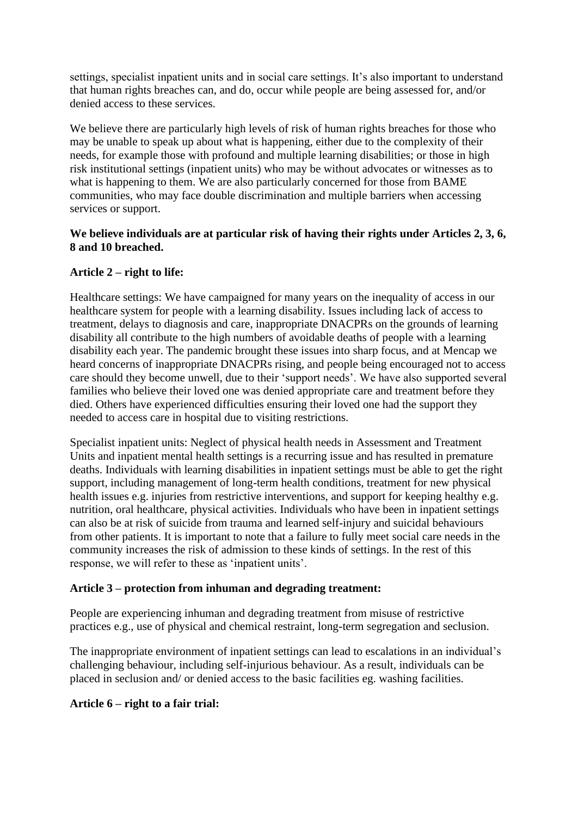settings, specialist inpatient units and in social care settings. It's also important to understand that human rights breaches can, and do, occur while people are being assessed for, and/or denied access to these services.

We believe there are particularly high levels of risk of human rights breaches for those who may be unable to speak up about what is happening, either due to the complexity of their needs, for example those with profound and multiple learning disabilities; or those in high risk institutional settings (inpatient units) who may be without advocates or witnesses as to what is happening to them. We are also particularly concerned for those from BAME communities, who may face double discrimination and multiple barriers when accessing services or support.

# **We believe individuals are at particular risk of having their rights under Articles 2, 3, 6, 8 and 10 breached.**

# **Article 2 – right to life:**

Healthcare settings: We have campaigned for many years on the inequality of access in our healthcare system for people with a learning disability. Issues including lack of access to treatment, delays to diagnosis and care, inappropriate DNACPRs on the grounds of learning disability all contribute to the high numbers of avoidable deaths of people with a learning disability each year. The pandemic brought these issues into sharp focus, and at Mencap we heard concerns of inappropriate DNACPRs rising, and people being encouraged not to access care should they become unwell, due to their 'support needs'. We have also supported several families who believe their loved one was denied appropriate care and treatment before they died. Others have experienced difficulties ensuring their loved one had the support they needed to access care in hospital due to visiting restrictions.

Specialist inpatient units: Neglect of physical health needs in Assessment and Treatment Units and inpatient mental health settings is a recurring issue and has resulted in premature deaths. Individuals with learning disabilities in inpatient settings must be able to get the right support, including management of long-term health conditions, treatment for new physical health issues e.g. injuries from restrictive interventions, and support for keeping healthy e.g. nutrition, oral healthcare, physical activities. Individuals who have been in inpatient settings can also be at risk of suicide from trauma and learned self-injury and suicidal behaviours from other patients. It is important to note that a failure to fully meet social care needs in the community increases the risk of admission to these kinds of settings. In the rest of this response, we will refer to these as 'inpatient units'.

# **Article 3 – protection from inhuman and degrading treatment:**

People are experiencing inhuman and degrading treatment from misuse of restrictive practices e.g., use of physical and chemical restraint, long-term segregation and seclusion.

The inappropriate environment of inpatient settings can lead to escalations in an individual's challenging behaviour, including self-injurious behaviour. As a result, individuals can be placed in seclusion and/ or denied access to the basic facilities eg. washing facilities.

# **Article 6 – right to a fair trial:**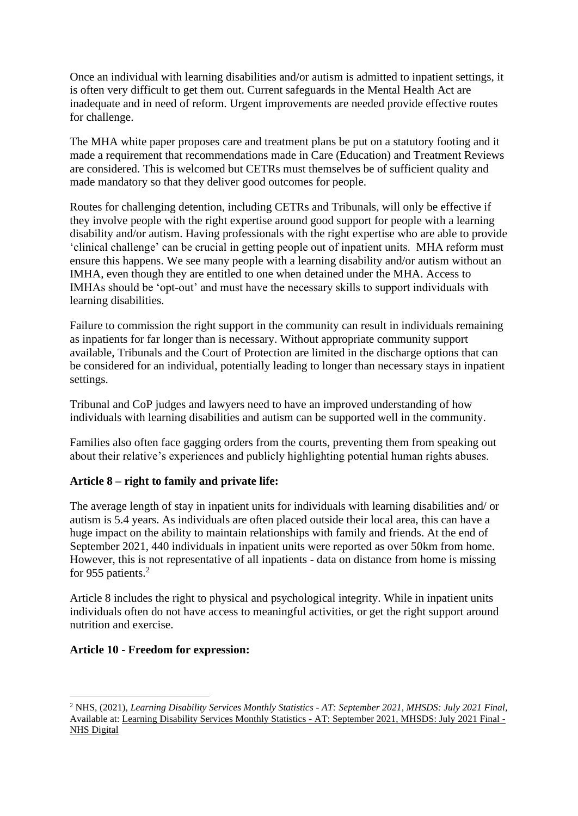Once an individual with learning disabilities and/or autism is admitted to inpatient settings, it is often very difficult to get them out. Current safeguards in the Mental Health Act are inadequate and in need of reform. Urgent improvements are needed provide effective routes for challenge.

The MHA white paper proposes care and treatment plans be put on a statutory footing and it made a requirement that recommendations made in Care (Education) and Treatment Reviews are considered. This is welcomed but CETRs must themselves be of sufficient quality and made mandatory so that they deliver good outcomes for people.

Routes for challenging detention, including CETRs and Tribunals, will only be effective if they involve people with the right expertise around good support for people with a learning disability and/or autism. Having professionals with the right expertise who are able to provide 'clinical challenge' can be crucial in getting people out of inpatient units. MHA reform must ensure this happens. We see many people with a learning disability and/or autism without an IMHA, even though they are entitled to one when detained under the MHA. Access to IMHAs should be 'opt-out' and must have the necessary skills to support individuals with learning disabilities.

Failure to commission the right support in the community can result in individuals remaining as inpatients for far longer than is necessary. Without appropriate community support available, Tribunals and the Court of Protection are limited in the discharge options that can be considered for an individual, potentially leading to longer than necessary stays in inpatient settings.

Tribunal and CoP judges and lawyers need to have an improved understanding of how individuals with learning disabilities and autism can be supported well in the community.

Families also often face gagging orders from the courts, preventing them from speaking out about their relative's experiences and publicly highlighting potential human rights abuses.

# **Article 8 – right to family and private life:**

The average length of stay in inpatient units for individuals with learning disabilities and/ or autism is 5.4 years. As individuals are often placed outside their local area, this can have a huge impact on the ability to maintain relationships with family and friends. At the end of September 2021, 440 individuals in inpatient units were reported as over 50km from home. However, this is not representative of all inpatients - data on distance from home is missing for 955 patients.<sup>2</sup>

Article 8 includes the right to physical and psychological integrity. While in inpatient units individuals often do not have access to meaningful activities, or get the right support around nutrition and exercise.

### **Article 10 - Freedom for expression:**

<sup>2</sup> NHS, (2021), *Learning Disability Services Monthly Statistics - AT: September 2021, MHSDS: July 2021 Final,* Available at: [Learning Disability Services Monthly Statistics -](https://digital.nhs.uk/data-and-information/publications/statistical/learning-disability-services-statistics/at-september-2021-mhsds-july-2021-final#top) AT: September 2021, MHSDS: July 2021 Final - [NHS Digital](https://digital.nhs.uk/data-and-information/publications/statistical/learning-disability-services-statistics/at-september-2021-mhsds-july-2021-final#top)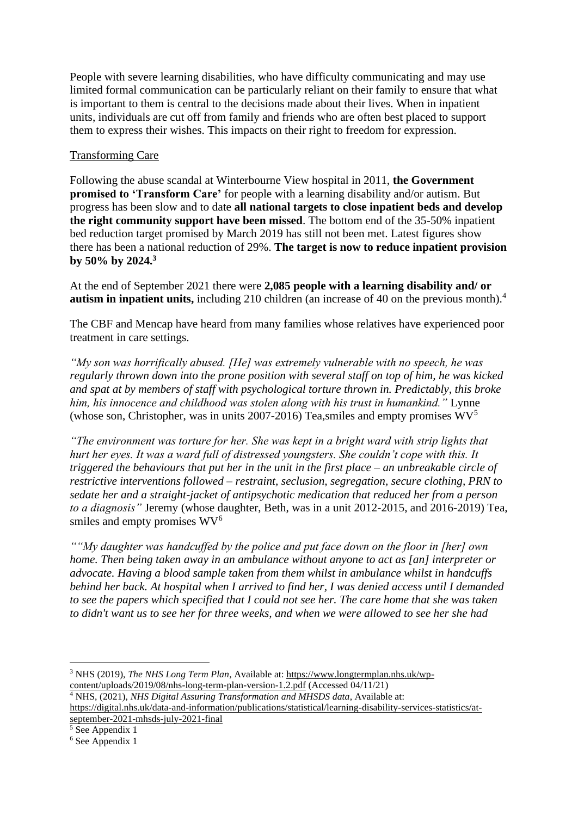People with severe learning disabilities, who have difficulty communicating and may use limited formal communication can be particularly reliant on their family to ensure that what is important to them is central to the decisions made about their lives. When in inpatient units, individuals are cut off from family and friends who are often best placed to support them to express their wishes. This impacts on their right to freedom for expression.

# Transforming Care

Following the abuse scandal at Winterbourne View hospital in 2011, **the Government promised to 'Transform Care'** for people with a learning disability and/or autism. But progress has been slow and to date **all national targets to close inpatient beds and develop the right community support have been missed**. The bottom end of the 35-50% inpatient bed reduction target promised by March 2019 has still not been met. Latest figures show there has been a national reduction of 29%. **The target is now to reduce inpatient provision by 50% by 2024.<sup>3</sup>**

At the end of September 2021 there were **2,085 people with a learning disability and/ or autism in inpatient units,** including 210 children (an increase of 40 on the previous month).<sup>4</sup>

The CBF and Mencap have heard from many families whose relatives have experienced poor treatment in care settings.

*"My son was horrifically abused. [He] was extremely vulnerable with no speech, he was regularly thrown down into the prone position with several staff on top of him, he was kicked and spat at by members of staff with psychological torture thrown in. Predictably, this broke him, his innocence and childhood was stolen along with his trust in humankind."* Lynne (whose son, Christopher, was in units 2007-2016) Tea, smiles and empty promises  $WV^5$ 

*"The environment was torture for her. She was kept in a bright ward with strip lights that hurt her eyes. It was a ward full of distressed youngsters. She couldn't cope with this. It triggered the behaviours that put her in the unit in the first place – an unbreakable circle of restrictive interventions followed – restraint, seclusion, segregation, secure clothing, PRN to sedate her and a straight-jacket of antipsychotic medication that reduced her from a person to a diagnosis"* Jeremy (whose daughter, Beth, was in a unit 2012-2015, and 2016-2019) Tea, smiles and empty promises  $WV^6$ 

*""My daughter was handcuffed by the police and put face down on the floor in [her] own home. Then being taken away in an ambulance without anyone to act as [an] interpreter or advocate. Having a blood sample taken from them whilst in ambulance whilst in handcuffs behind her back. At hospital when I arrived to find her, I was denied access until I demanded to see the papers which specified that I could not see her. The care home that she was taken to didn't want us to see her for three weeks, and when we were allowed to see her she had*

<sup>4</sup> NHS, (2021), *NHS Digital Assuring Transformation and MHSDS data*, Available at[:](https://digital.nhs.uk/data-and-information/publications/statistical/learning-disability-services-statistics/at-september-2021-mhsds-july-2021-final) [https://digital.nhs.uk/data-and-information/publications/statistical/learning-disability-services-statistics/at](https://digital.nhs.uk/data-and-information/publications/statistical/learning-disability-services-statistics/at-september-2021-mhsds-july-2021-final)[september-2021-mhsds-july-2021-final](https://digital.nhs.uk/data-and-information/publications/statistical/learning-disability-services-statistics/at-september-2021-mhsds-july-2021-final)

<sup>3</sup> NHS (2019), *The NHS Long Term Plan*, Available at: [https://www.longtermplan.nhs.uk/wp](https://www.longtermplan.nhs.uk/wp-content/uploads/2019/08/nhs-long-term-plan-version-1.2.pdf)[content/uploads/2019/08/nhs-long-term-plan-version-1.2.pdf](https://www.longtermplan.nhs.uk/wp-content/uploads/2019/08/nhs-long-term-plan-version-1.2.pdf) (Accessed 04/11/21)

 $\sqrt[5]{\text{See} \text{ Appendix 1}}$ 

<sup>6</sup> See Appendix 1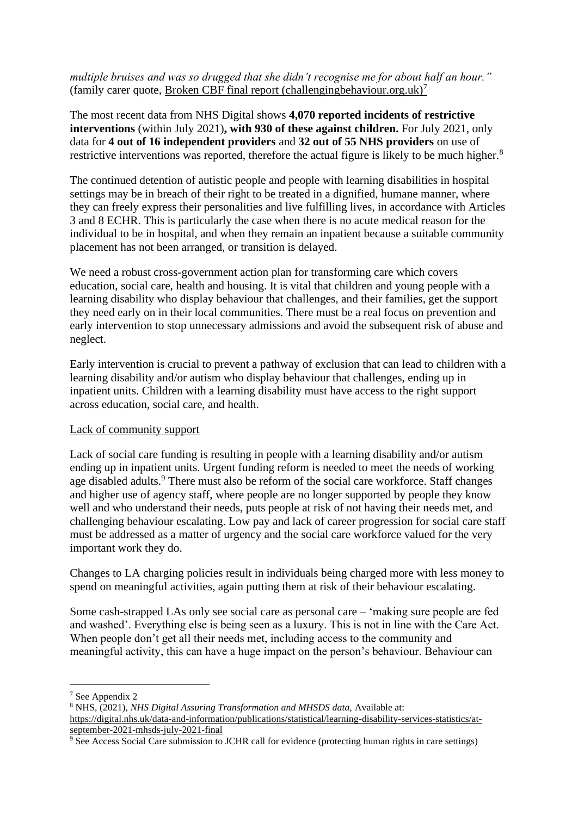*multiple bruises and was so drugged that she didn't recognise me for about half an hour."*  (family carer quote, [Broken CBF final report \(challengingbehaviour.org.uk\)](https://www.challengingbehaviour.org.uk/wp-content/uploads/2021/03/brokencbffinalreportstrand1jan21.pdf)<sup>7</sup>

The most recent data from NHS Digital shows **4,070 reported incidents of restrictive interventions** (within July 2021)**, with 930 of these against children.** For July 2021, only data for **4 out of 16 independent providers** and **32 out of 55 NHS providers** on use of restrictive interventions was reported, therefore the actual figure is likely to be much higher.<sup>8</sup>

The continued detention of autistic people and people with learning disabilities in hospital settings may be in breach of their right to be treated in a dignified, humane manner, where they can freely express their personalities and live fulfilling lives, in accordance with Articles 3 and 8 ECHR. This is particularly the case when there is no acute medical reason for the individual to be in hospital, and when they remain an inpatient because a suitable community placement has not been arranged, or transition is delayed.

We need a robust cross-government action plan for transforming care which covers education, social care, health and housing. It is vital that children and young people with a learning disability who display behaviour that challenges, and their families, get the support they need early on in their local communities. There must be a real focus on prevention and early intervention to stop unnecessary admissions and avoid the subsequent risk of abuse and neglect.

Early intervention is crucial to prevent a pathway of exclusion that can lead to children with a learning disability and/or autism who display behaviour that challenges, ending up in inpatient units. Children with a learning disability must have access to the right support across education, social care, and health.

### Lack of community support

Lack of social care funding is resulting in people with a learning disability and/or autism ending up in inpatient units. Urgent funding reform is needed to meet the needs of working age disabled adults.<sup>9</sup> There must also be reform of the social care workforce. Staff changes and higher use of agency staff, where people are no longer supported by people they know well and who understand their needs, puts people at risk of not having their needs met, and challenging behaviour escalating. Low pay and lack of career progression for social care staff must be addressed as a matter of urgency and the social care workforce valued for the very important work they do.

Changes to LA charging policies result in individuals being charged more with less money to spend on meaningful activities, again putting them at risk of their behaviour escalating.

Some cash-strapped LAs only see social care as personal care – 'making sure people are fed and washed'. Everything else is being seen as a luxury. This is not in line with the Care Act. When people don't get all their needs met, including access to the community and meaningful activity, this can have a huge impact on the person's behaviour. Behaviour can

<sup>7</sup> See Appendix 2

<sup>8</sup> NHS, (2021), *NHS Digital Assuring Transformation and MHSDS data,* Available at[:](https://digital.nhs.uk/data-and-information/publications/statistical/learning-disability-services-statistics/at-september-2021-mhsds-july-2021-final) [https://digital.nhs.uk/data-and-information/publications/statistical/learning-disability-services-statistics/at](https://digital.nhs.uk/data-and-information/publications/statistical/learning-disability-services-statistics/at-september-2021-mhsds-july-2021-final)[september-2021-mhsds-july-2021-final](https://digital.nhs.uk/data-and-information/publications/statistical/learning-disability-services-statistics/at-september-2021-mhsds-july-2021-final)

<sup>&</sup>lt;sup>9</sup> See Access Social Care submission to JCHR call for evidence (protecting human rights in care settings)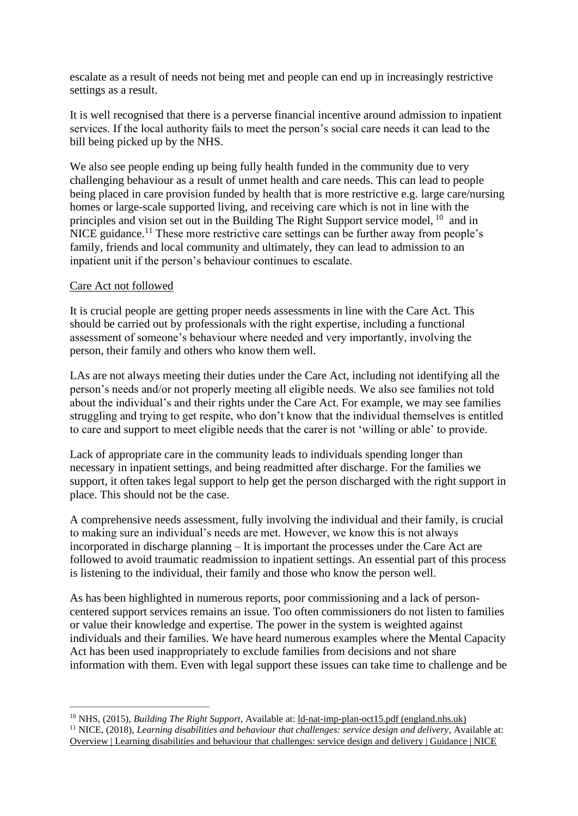escalate as a result of needs not being met and people can end up in increasingly restrictive settings as a result.

It is well recognised that there is a perverse financial incentive around admission to inpatient services. If the local authority fails to meet the person's social care needs it can lead to the bill being picked up by the NHS.

We also see people ending up being fully health funded in the community due to very challenging behaviour as a result of unmet health and care needs. This can lead to people being placed in care provision funded by health that is more restrictive e.g. large care/nursing homes or large-scale supported living, and receiving care which is not in line with the principles and vision set out in the Building The Right Support service model, <sup>10</sup> and in NICE guidance.<sup>11</sup> These more restrictive care settings can be further away from people's family, friends and local community and ultimately, they can lead to admission to an inpatient unit if the person's behaviour continues to escalate.

### Care Act not followed

It is crucial people are getting proper needs assessments in line with the Care Act. This should be carried out by professionals with the right expertise, including a functional assessment of someone's behaviour where needed and very importantly, involving the person, their family and others who know them well.

LAs are not always meeting their duties under the Care Act, including not identifying all the person's needs and/or not properly meeting all eligible needs. We also see families not told about the individual's and their rights under the Care Act. For example, we may see families struggling and trying to get respite, who don't know that the individual themselves is entitled to care and support to meet eligible needs that the carer is not 'willing or able' to provide.

Lack of appropriate care in the community leads to individuals spending longer than necessary in inpatient settings, and being readmitted after discharge. For the families we support, it often takes legal support to help get the person discharged with the right support in place. This should not be the case.

A comprehensive needs assessment, fully involving the individual and their family, is crucial to making sure an individual's needs are met. However, we know this is not always incorporated in discharge planning – It is important the processes under the Care Act are followed to avoid traumatic readmission to inpatient settings. An essential part of this process is listening to the individual, their family and those who know the person well.

As has been highlighted in numerous reports, poor commissioning and a lack of personcentered support services remains an issue. Too often commissioners do not listen to families or value their knowledge and expertise. The power in the system is weighted against individuals and their families. We have heard numerous examples where the Mental Capacity Act has been used inappropriately to exclude families from decisions and not share information with them. Even with legal support these issues can take time to challenge and be

<sup>10</sup> NHS, (2015), *Building The Right Support*, Available at: [ld-nat-imp-plan-oct15.pdf \(england.nhs.uk\)](https://www.england.nhs.uk/wp-content/uploads/2015/10/ld-nat-imp-plan-oct15.pdf) <sup>11</sup> NICE, (2018), *Learning disabilities and behaviour that challenges: service design and delivery*, Available at: Overview | Learning disabilities and behaviour [that challenges: service design and delivery | Guidance | NICE](https://www.nice.org.uk/guidance/ng93)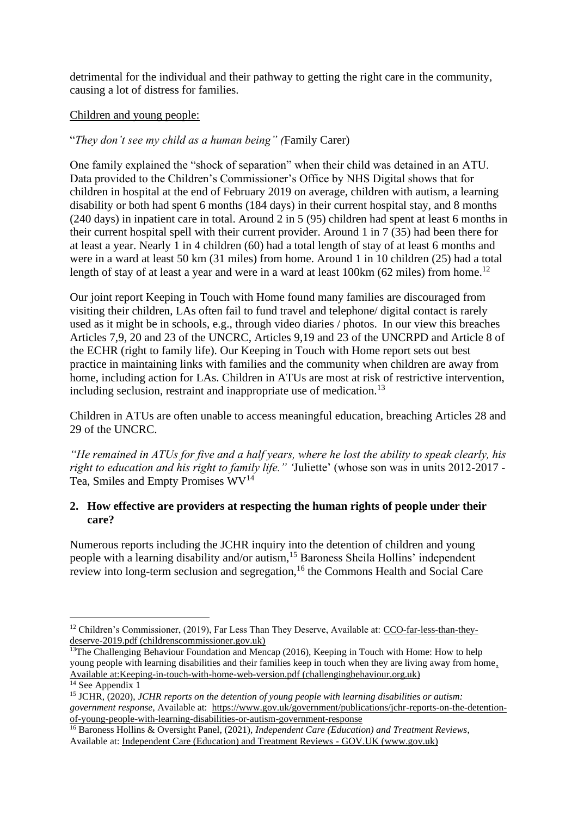detrimental for the individual and their pathway to getting the right care in the community, causing a lot of distress for families.

## Children and young people:

# "*They don't see my child as a human being" (*Family Carer)

One family explained the "shock of separation" when their child was detained in an ATU. Data provided to the Children's Commissioner's Office by NHS Digital shows that for children in hospital at the end of February 2019 on average, children with autism, a learning disability or both had spent 6 months (184 days) in their current hospital stay, and 8 months (240 days) in inpatient care in total. Around 2 in 5 (95) children had spent at least 6 months in their current hospital spell with their current provider. Around 1 in 7 (35) had been there for at least a year. Nearly 1 in 4 children (60) had a total length of stay of at least 6 months and were in a ward at least 50 km (31 miles) from home. Around 1 in 10 children (25) had a total length of stay of at least a year and were in a ward at least  $100 \text{km}$  (62 miles) from home.<sup>12</sup>

Our joint report Keeping in Touch with Home found many families are discouraged from visiting their children, LAs often fail to fund travel and telephone/ digital contact is rarely used as it might be in schools, e.g., through video diaries / photos. In our view this breaches Articles 7,9, 20 and 23 of the UNCRC, Articles 9,19 and 23 of the UNCRPD and Article 8 of the ECHR (right to family life). Our Keeping in Touch with Home report sets out best practice in maintaining links with families and the community when children are away from home, including action for LAs. Children in ATUs are most at risk of restrictive intervention, including seclusion, restraint and inappropriate use of medication.<sup>13</sup>

Children in ATUs are often unable to access meaningful education, breaching Articles 28 and 29 of the UNCRC.

*"He remained in ATUs for five and a half years, where he lost the ability to speak clearly, his right to education and his right to family life." '*Juliette' (whose son was in units 2012-2017 *-* Tea, Smiles and Empty Promises  $WV^{14}$ 

## **2. How effective are providers at respecting the human rights of people under their care?**

Numerous reports including the JCHR inquiry into the detention of children and young people with a learning disability and/or autism,<sup>15</sup> Baroness Sheila Hollins' independent review into long-term seclusion and segregation,<sup>16</sup> the Commons Health and Social Care

<sup>&</sup>lt;sup>12</sup> Children's Commissioner, (2019), Far Less Than They Deserve, Available at: [CCO-far-less-than-they](https://www.childrenscommissioner.gov.uk/wp-content/uploads/2019/05/CCO-far-less-than-they-deserve-2019.pdf)[deserve-2019.pdf \(childrenscommissioner.gov.uk\)](https://www.childrenscommissioner.gov.uk/wp-content/uploads/2019/05/CCO-far-less-than-they-deserve-2019.pdf)

<sup>&</sup>lt;sup>13</sup>The Challenging Behaviour Foundation and Mencap (2016), Keeping in Touch with Home: How to help young people with learning disabilities and their families keep in touch when they are living away from home, Available at[:Keeping-in-touch-with-home-web-version.pdf \(challengingbehaviour.org.uk\)](https://www.challengingbehaviour.org.uk/wp-content/uploads/2021/03/Keeping-in-touch-with-home-web-version.pdf)

 $14$  See Appendix 1

<sup>15</sup> JCHR, (2020), *JCHR reports on the detention of young people with learning disabilities or autism: government response*, Available at: [https://www.gov.uk/government/publications/jchr-reports-on-the-detention](https://www.gov.uk/government/publications/jchr-reports-on-the-detention-of-young-people-with-learning-disabilities-or-autism-government-response)[of-young-people-with-learning-disabilities-or-autism-government-response](https://www.gov.uk/government/publications/jchr-reports-on-the-detention-of-young-people-with-learning-disabilities-or-autism-government-response)

<sup>16</sup> Baroness Hollins & Oversight Panel, (2021), *Independent Care (Education) and Treatment Reviews*, Available at: [Independent Care \(Education\) and Treatment Reviews -](https://www.gov.uk/government/publications/independent-care-education-and-treatment-reviews) GOV.UK (www.gov.uk)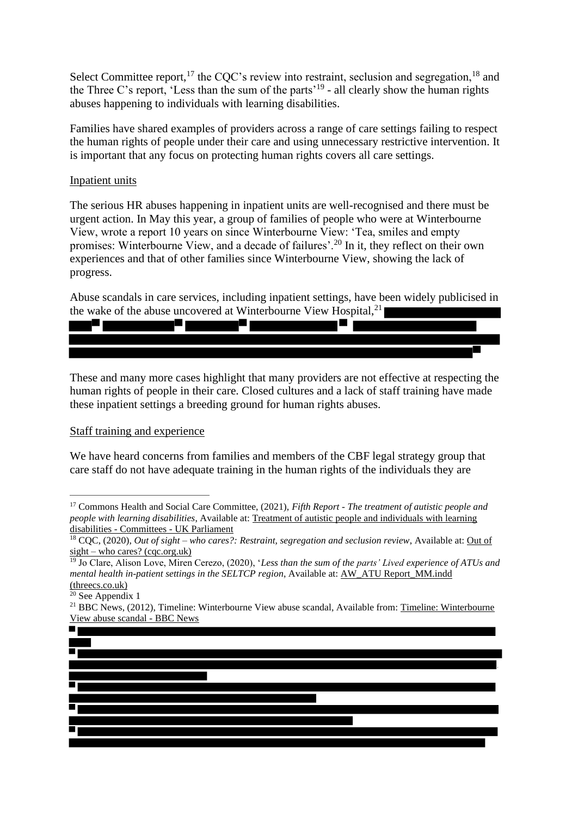Select Committee report,  $17$  the CQC's review into restraint, seclusion and segregation,  $18$  and the Three C's report, 'Less than the sum of the parts'<sup>19</sup> - all clearly show the human rights abuses happening to individuals with learning disabilities.

Families have shared examples of providers across a range of care settings failing to respect the human rights of people under their care and using unnecessary restrictive intervention. It is important that any focus on protecting human rights covers all care settings.

#### Inpatient units

The serious HR abuses happening in inpatient units are well-recognised and there must be urgent action. In May this year, a group of families of people who were at Winterbourne View, wrote a report 10 years on since Winterbourne View: 'Tea, smiles and empty promises: Winterbourne View, and a decade of failures'.<sup>20</sup> In it, they reflect on their own experiences and that of other families since Winterbourne View, showing the lack of progress.

Abuse scandals in care services, including inpatient settings, have been widely publicised in the wake of the abuse uncovered at Winterbourne View Hospital,<sup>21</sup>



These and many more cases highlight that many providers are not effective at respecting the human rights of people in their care. Closed cultures and a lack of staff training have made these inpatient settings a breeding ground for human rights abuses.

#### Staff training and experience

We have heard concerns from families and members of the CBF legal strategy group that care staff do not have adequate training in the human rights of the individuals they are

<sup>17</sup> Commons Health and Social Care Committee, (2021), *Fifth Report - The treatment of autistic people and people with learning disabilities*, Available at: [Treatment of autistic people and individuals with learning](https://committees.parliament.uk/work/1026/treatment-of-autistic-people-and-individuals-with-learning-disabilities/publications/)  disabilities - Committees - [UK Parliament](https://committees.parliament.uk/work/1026/treatment-of-autistic-people-and-individuals-with-learning-disabilities/publications/)

<sup>18</sup> CQC, (2020), *Out of sight – who cares?: Restraint, segregation and seclusion review*, Available at: [Out of](https://www.cqc.org.uk/sites/default/files/20201218_rssreview_report.pdf)  sight – [who cares? \(cqc.org.uk\)](https://www.cqc.org.uk/sites/default/files/20201218_rssreview_report.pdf)

<sup>19</sup> Jo Clare, Alison Love, Miren Cerezo, (2020), '*Less than the sum of the parts' Lived experience of ATUs and mental health in-patient settings in the SELTCP region*, Available at: [AW\\_ATU Report\\_MM.indd](https://www.threecs.co.uk/wp-content/uploads/2020/08/AW_ATU-Report_MM_SCREEN.pdf)  [\(threecs.co.uk\)](https://www.threecs.co.uk/wp-content/uploads/2020/08/AW_ATU-Report_MM_SCREEN.pdf)

 $20$  See Appendix 1

<sup>&</sup>lt;sup>21</sup> BBC News, (2012), [Timeline: Winterbourne](https://www.bbc.co.uk/news/uk-england-bristol-20078999) View abuse scandal, Available from: Timeline: Winterbourne [View abuse scandal -](https://www.bbc.co.uk/news/uk-england-bristol-20078999) BBC News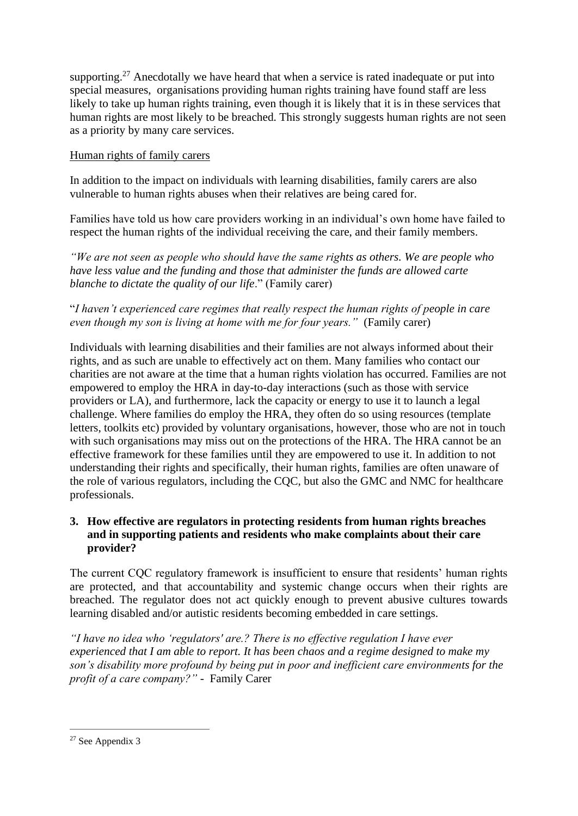supporting.<sup>27</sup> Anecdotally we have heard that when a service is rated inadequate or put into special measures, organisations providing human rights training have found staff are less likely to take up human rights training, even though it is likely that it is in these services that human rights are most likely to be breached. This strongly suggests human rights are not seen as a priority by many care services.

# Human rights of family carers

In addition to the impact on individuals with learning disabilities, family carers are also vulnerable to human rights abuses when their relatives are being cared for.

Families have told us how care providers working in an individual's own home have failed to respect the human rights of the individual receiving the care, and their family members.

*"We are not seen as people who should have the same rights as others. We are people who have less value and the funding and those that administer the funds are allowed carte blanche to dictate the quality of our life*." (Family carer)

"*I haven't experienced care regimes that really respect the human rights of people in care even though my son is living at home with me for four years."* (Family carer)

Individuals with learning disabilities and their families are not always informed about their rights, and as such are unable to effectively act on them. Many families who contact our charities are not aware at the time that a human rights violation has occurred. Families are not empowered to employ the HRA in day-to-day interactions (such as those with service providers or LA), and furthermore, lack the capacity or energy to use it to launch a legal challenge. Where families do employ the HRA, they often do so using resources (template letters, toolkits etc) provided by voluntary organisations, however, those who are not in touch with such organisations may miss out on the protections of the HRA. The HRA cannot be an effective framework for these families until they are empowered to use it. In addition to not understanding their rights and specifically, their human rights, families are often unaware of the role of various regulators, including the CQC, but also the GMC and NMC for healthcare professionals.

## **3. How effective are regulators in protecting residents from human rights breaches and in supporting patients and residents who make complaints about their care provider?**

The current CQC regulatory framework is insufficient to ensure that residents' human rights are protected, and that accountability and systemic change occurs when their rights are breached. The regulator does not act quickly enough to prevent abusive cultures towards learning disabled and/or autistic residents becoming embedded in care settings.

*"I have no idea who 'regulators' are.? There is no effective regulation I have ever experienced that I am able to report. It has been chaos and a regime designed to make my son's disability more profound by being put in poor and inefficient care environments for the profit of a care company?" -* Family Carer

<sup>27</sup> See Appendix 3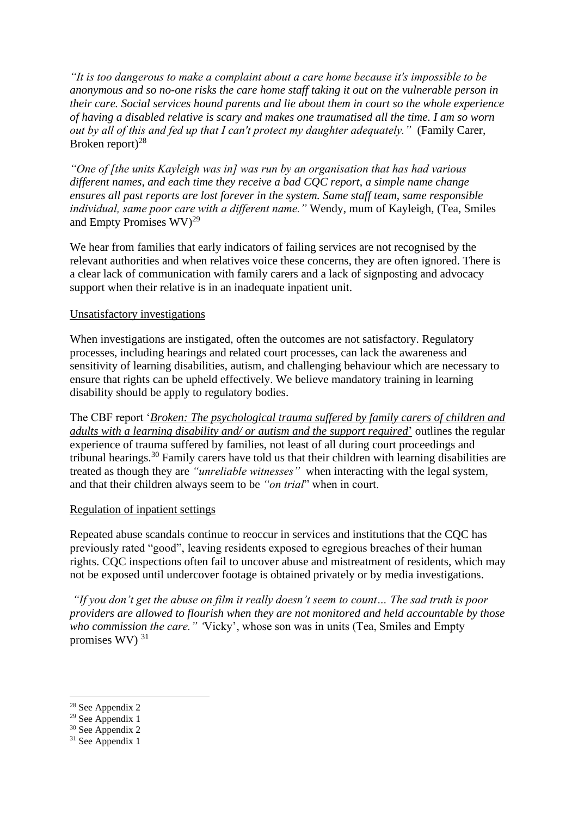*"It is too dangerous to make a complaint about a care home because it's impossible to be anonymous and so no-one risks the care home staff taking it out on the vulnerable person in their care. Social services hound parents and lie about them in court so the whole experience of having a disabled relative is scary and makes one traumatised all the time. I am so worn out by all of this and fed up that I can't protect my daughter adequately."* (Family Carer, Broken report) $^{28}$ 

*"One of [the units Kayleigh was in] was run by an organisation that has had various different names, and each time they receive a bad CQC report, a simple name change ensures all past reports are lost forever in the system. Same staff team, same responsible individual, same poor care with a different name."* Wendy, mum of Kayleigh, (Tea, Smiles and Empty Promises  $\rm WV$ <sup>29</sup>

We hear from families that early indicators of failing services are not recognised by the relevant authorities and when relatives voice these concerns, they are often ignored. There is a clear lack of communication with family carers and a lack of signposting and advocacy support when their relative is in an inadequate inpatient unit.

### Unsatisfactory investigations

When investigations are instigated, often the outcomes are not satisfactory. Regulatory processes, including hearings and related court processes, can lack the awareness and sensitivity of learning disabilities, autism, and challenging behaviour which are necessary to ensure that rights can be upheld effectively. We believe mandatory training in learning disability should be apply to regulatory bodies.

The CBF report '*[Broken: The psychological trauma suffered by family carers of children and](https://www.challengingbehaviour.org.uk/learning-disability-assets/brokencbffinalreportstrand1jan21.pdf)  [adults with a learning disability and/ or autism and the support required](https://www.challengingbehaviour.org.uk/learning-disability-assets/brokencbffinalreportstrand1jan21.pdf)*['](https://www.challengingbehaviour.org.uk/learning-disability-assets/brokencbffinalreportstrand1jan21.pdf) outlines the regular experience of trauma suffered by families, not least of all during court proceedings and tribunal hearings.<sup>30</sup> Family carers have told us that their children with learning disabilities are treated as though they are *"unreliable witnesses"* when interacting with the legal system, and that their children always seem to be *"on trial*" when in court.

### Regulation of inpatient settings

Repeated abuse scandals continue to reoccur in services and institutions that the CQC has previously rated "good", leaving residents exposed to egregious breaches of their human rights. CQC inspections often fail to uncover abuse and mistreatment of residents, which may not be exposed until undercover footage is obtained privately or by media investigations.

*"If you don't get the abuse on film it really doesn't seem to count… The sad truth is poor providers are allowed to flourish when they are not monitored and held accountable by those who commission the care." '*Vicky', whose son was in units (Tea, Smiles and Empty promises WV) $31$ 

<sup>28</sup> See Appendix 2

<sup>29</sup> See Appendix 1

 $30$  See Appendix 2

 $31$  See Appendix 1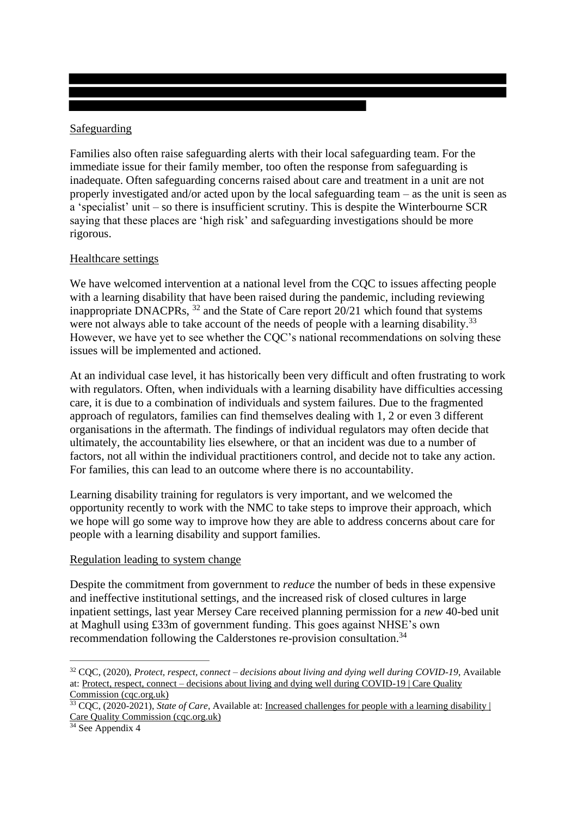## Safeguarding

Families also often raise safeguarding alerts with their local safeguarding team. For the immediate issue for their family member, too often the response from safeguarding is inadequate. Often safeguarding concerns raised about care and treatment in a unit are not properly investigated and/or acted upon by the local safeguarding team – as the unit is seen as a 'specialist' unit – so there is insufficient scrutiny. This is despite the Winterbourne SCR saying that these places are 'high risk' and safeguarding investigations should be more rigorous.

## Healthcare settings

We have welcomed intervention at a national level from the COC to issues affecting people with a learning disability that have been raised during the pandemic, including reviewing inappropriate DNACPRs, <sup>32</sup> and the State of Care report 20/21 which found that systems were not always able to take account of the needs of people with a learning disability.<sup>33</sup> However, we have yet to see whether the CQC's national recommendations on solving these issues will be implemented and actioned.

At an individual case level, it has historically been very difficult and often frustrating to work with regulators. Often, when individuals with a learning disability have difficulties accessing care, it is due to a combination of individuals and system failures. Due to the fragmented approach of regulators, families can find themselves dealing with 1, 2 or even 3 different organisations in the aftermath. The findings of individual regulators may often decide that ultimately, the accountability lies elsewhere, or that an incident was due to a number of factors, not all within the individual practitioners control, and decide not to take any action. For families, this can lead to an outcome where there is no accountability.

Learning disability training for regulators is very important, and we welcomed the opportunity recently to work with the NMC to take steps to improve their approach, which we hope will go some way to improve how they are able to address concerns about care for people with a learning disability and support families.

# Regulation leading to system change

Despite the commitment from government to *reduce* the number of beds in these expensive and ineffective institutional settings, and the increased risk of closed cultures in large inpatient settings, last year Mersey Care received planning permission for a *new* 40-bed unit at Maghull using £33m of government funding. This goes against NHSE's own recommendation following the Calderstones re-provision consultation.<sup>34</sup>

<sup>32</sup> CQC, (2020), *Protect, respect, connect – decisions about living and dying well during COVID-19*, Available at: Protect, respect, connect – [decisions about living and dying well during COVID-19 | Care Quality](https://www.cqc.org.uk/publications/themed-work/protect-respect-connect-decisions-about-living-dying-well-during-covid-19)  [Commission \(cqc.org.uk\)](https://www.cqc.org.uk/publications/themed-work/protect-respect-connect-decisions-about-living-dying-well-during-covid-19)

<sup>&</sup>lt;sup>33</sup> CQC, (2020-2021), *State of Care*, Available at: <u>Increased challenges for people with a learning disability |</u> [Care Quality Commission \(cqc.org.uk\)](https://www.cqc.org.uk/publications/major-reports/soc202021_01c_challenges-ld)

<sup>&</sup>lt;sup>34</sup> See Appendix 4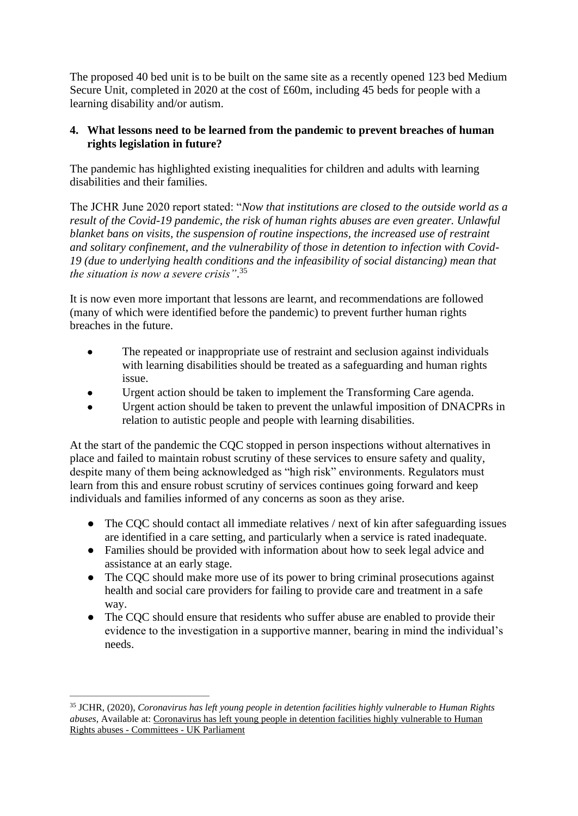The proposed 40 bed unit is to be built on the same site as a recently opened 123 bed Medium Secure Unit, completed in 2020 at the cost of £60m, including 45 beds for people with a learning disability and/or autism.

# **4. What lessons need to be learned from the pandemic to prevent breaches of human rights legislation in future?**

The pandemic has highlighted existing inequalities for children and adults with learning disabilities and their families.

The JCHR June 2020 report stated: "*Now that institutions are closed to the outside world as a result of the Covid-19 pandemic, the risk of human rights abuses are even greater. Unlawful blanket bans on visits, the suspension of routine inspections, the increased use of restraint and solitary confinement, and the vulnerability of those in detention to infection with Covid-19 (due to underlying health conditions and the infeasibility of social distancing) mean that the situation is now a severe crisis"*. 35

It is now even more important that lessons are learnt, and recommendations are followed (many of which were identified before the pandemic) to prevent further human rights breaches in the future.

- The repeated or inappropriate use of restraint and seclusion against individuals with learning disabilities should be treated as a safeguarding and human rights issue.
- Urgent action should be taken to implement the Transforming Care agenda.
- Urgent action should be taken to prevent the unlawful imposition of DNACPRs in relation to autistic people and people with learning disabilities.

At the start of the pandemic the CQC stopped in person inspections without alternatives in place and failed to maintain robust scrutiny of these services to ensure safety and quality, despite many of them being acknowledged as "high risk" environments. Regulators must learn from this and ensure robust scrutiny of services continues going forward and keep individuals and families informed of any concerns as soon as they arise.

- The CQC should contact all immediate relatives / next of kin after safeguarding issues are identified in a care setting, and particularly when a service is rated inadequate.
- Families should be provided with information about how to seek legal advice and assistance at an early stage.
- The CQC should make more use of its power to bring criminal prosecutions against health and social care providers for failing to provide care and treatment in a safe way.
- The CQC should ensure that residents who suffer abuse are enabled to provide their evidence to the investigation in a supportive manner, bearing in mind the individual's needs.

<sup>35</sup> JCHR, (2020), *Coronavirus has left young people in detention facilities highly vulnerable to Human Rights abuses*, Available at: [Coronavirus has left young people in detention facilities highly vulnerable to Human](https://committees.parliament.uk/work/218/the-governments-response-to-covid19-human-rights-implications/news/115225/coronavirus-has-left-young-people-in-detention-facilities-highly-vulnerable-to-human-rights-abuses/)  [Rights abuses -](https://committees.parliament.uk/work/218/the-governments-response-to-covid19-human-rights-implications/news/115225/coronavirus-has-left-young-people-in-detention-facilities-highly-vulnerable-to-human-rights-abuses/) Committees - UK Parliament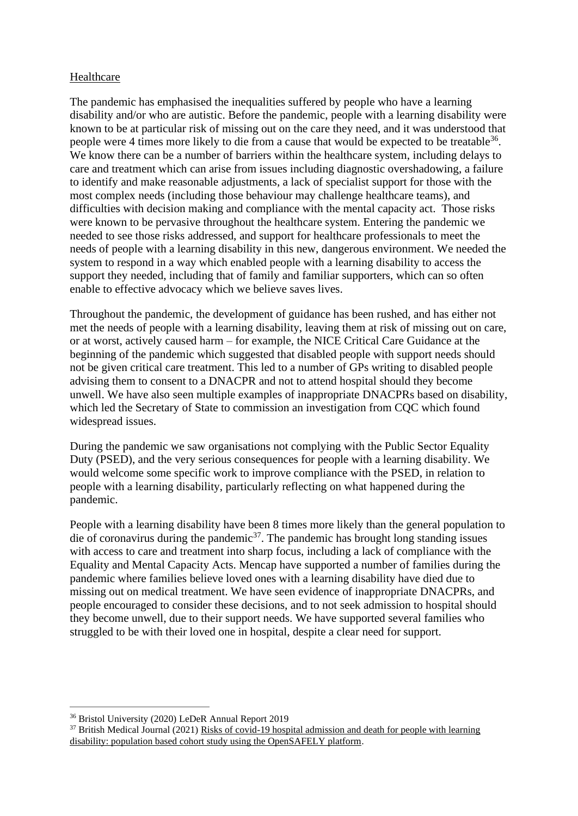## Healthcare

The pandemic has emphasised the inequalities suffered by people who have a learning disability and/or who are autistic. Before the pandemic, people with a learning disability were known to be at particular risk of missing out on the care they need, and it was understood that people were 4 times more likely to die from a cause that would be expected to be treatable<sup>36</sup>. We know there can be a number of barriers within the healthcare system, including delays to care and treatment which can arise from issues including diagnostic overshadowing, a failure to identify and make reasonable adjustments, a lack of specialist support for those with the most complex needs (including those behaviour may challenge healthcare teams), and difficulties with decision making and compliance with the mental capacity act. Those risks were known to be pervasive throughout the healthcare system. Entering the pandemic we needed to see those risks addressed, and support for healthcare professionals to meet the needs of people with a learning disability in this new, dangerous environment. We needed the system to respond in a way which enabled people with a learning disability to access the support they needed, including that of family and familiar supporters, which can so often enable to effective advocacy which we believe saves lives.

Throughout the pandemic, the development of guidance has been rushed, and has either not met the needs of people with a learning disability, leaving them at risk of missing out on care, or at worst, actively caused harm – for example, the NICE Critical Care Guidance at the beginning of the pandemic which suggested that disabled people with support needs should not be given critical care treatment. This led to a number of GPs writing to disabled people advising them to consent to a DNACPR and not to attend hospital should they become unwell. We have also seen multiple examples of inappropriate DNACPRs based on disability, which led the Secretary of State to commission an investigation from CQC which found widespread issues.

During the pandemic we saw organisations not complying with the Public Sector Equality Duty (PSED), and the very serious consequences for people with a learning disability. We would welcome some specific work to improve compliance with the PSED, in relation to people with a learning disability, particularly reflecting on what happened during the pandemic.

People with a learning disability have been 8 times more likely than the general population to die of coronavirus during the pandemic $37$ . The pandemic has brought long standing issues with access to care and treatment into sharp focus, including a lack of compliance with the Equality and Mental Capacity Acts. Mencap have supported a number of families during the pandemic where families believe loved ones with a learning disability have died due to missing out on medical treatment. We have seen evidence of inappropriate DNACPRs, and people encouraged to consider these decisions, and to not seek admission to hospital should they become unwell, due to their support needs. We have supported several families who struggled to be with their loved one in hospital, despite a clear need for support.

<sup>36</sup> Bristol University (2020) LeDeR Annual Report 2019

 $37$  British Medical Journal (2021) Risks of covid-19 hospital admission and death for people with learning [disability: population based cohort study using the OpenSAFELY platform.](https://www.bmj.com/company/newsroom/people-with-learning-disabilities-extremely-vulnerable-to-the-effects-of-covid-19/#:~:text=People%20with%20learning%20disabilities%20with,published%20by%20The%20BMJ%20today)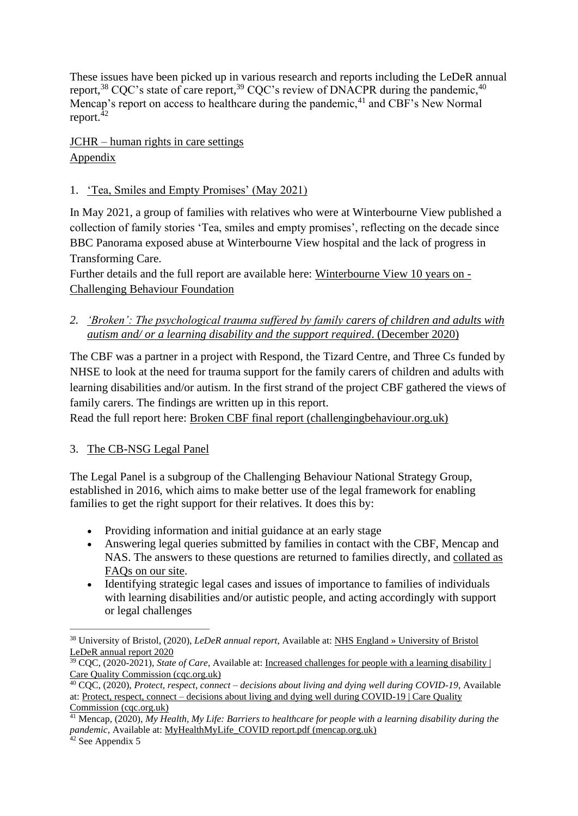These issues have been picked up in various research and reports including the LeDeR annual report,<sup>38</sup> CQC's state of care report,<sup>39</sup> CQC's review of DNACPR during the pandemic,<sup>40</sup> Mencap's report on access to healthcare during the pandemic,  $41$  and CBF's New Normal report. $42$ 

JCHR – human rights in care settings Appendix

# 1. 'Tea, Smiles and Empty Promises' (May 2021)

In May 2021, a group of families with relatives who were at Winterbourne View published a collection of family stories 'Tea, smiles and empty promises', reflecting on the decade since BBC Panorama exposed abuse at Winterbourne View hospital and the lack of progress in Transforming Care.

Further details and the full report are available here: [Winterbourne View 10 years on -](https://www.challengingbehaviour.org.uk/news/winterbourne-view-10-years-on/) [Challenging Behaviour Foundation](https://www.challengingbehaviour.org.uk/news/winterbourne-view-10-years-on/)

*2. 'Broken': The psychological trauma suffered by family carers of children and adults with autism and/ or a learning disability and the support required*. (December 2020)

The CBF was a partner in a project with Respond, the Tizard Centre, and Three Cs funded by NHSE to look at the need for trauma support for the family carers of children and adults with learning disabilities and/or autism. In the first strand of the project CBF gathered the views of family carers. The findings are written up in this report.

Read the full report here: [Broken CBF final report \(challengingbehaviour.org.uk\)](https://www.challengingbehaviour.org.uk/wp-content/uploads/2021/03/brokencbffinalreportstrand1jan21.pdf)

# 3. The CB-NSG Legal Panel

The Legal Panel is a subgroup of the Challenging Behaviour National Strategy Group, established in 2016, which aims to make better use of the legal framework for enabling families to get the right support for their relatives. It does this by:

- Providing information and initial guidance at an early stage
- Answering legal queries submitted by families in contact with the CBF, Mencap and NAS. The answers to these questions are returned to families directly, and [collated](https://www.challengingbehaviour.org.uk/information-and-guidance/covid-19/covid-our-resources/) as [FAQs](https://www.challengingbehaviour.org.uk/information-and-guidance/covid-19/covid-our-resources/) on our site.
- Identifying strategic legal cases and issues of importance to families of individuals with learning disabilities and/or autistic people, and acting accordingly with support or legal challenges

<sup>38</sup> University of Bristol, (2020), *LeDeR annual report*, Available at: [NHS England » University of Bristol](https://www.england.nhs.uk/publication/university-of-bristol-leder-annual-report/)  [LeDeR annual report 2020](https://www.england.nhs.uk/publication/university-of-bristol-leder-annual-report/)

<sup>39</sup> CQC, (2020-2021), *State of Care*, Available at: [Increased challenges for people with a learning disability |](https://www.cqc.org.uk/publications/major-reports/soc202021_01c_challenges-ld)  [Care Quality Commission \(cqc.org.uk\)](https://www.cqc.org.uk/publications/major-reports/soc202021_01c_challenges-ld)

<sup>40</sup> CQC, (2020), *Protect, respect, connect – decisions about living and dying well during COVID-19*, Available at: Protect, respect, connect – [decisions about living and dying well during COVID-19 | Care Quality](https://www.cqc.org.uk/publications/themed-work/protect-respect-connect-decisions-about-living-dying-well-during-covid-19)  [Commission \(cqc.org.uk\)](https://www.cqc.org.uk/publications/themed-work/protect-respect-connect-decisions-about-living-dying-well-during-covid-19)

<sup>41</sup> Mencap, (2020), *My Health, My Life: Barriers to healthcare for people with a learning disability during the pandemic*, Available at: **MyHealthMyLife\_COVID** report.pdf (mencap.org.uk)  $42$  See Appendix 5